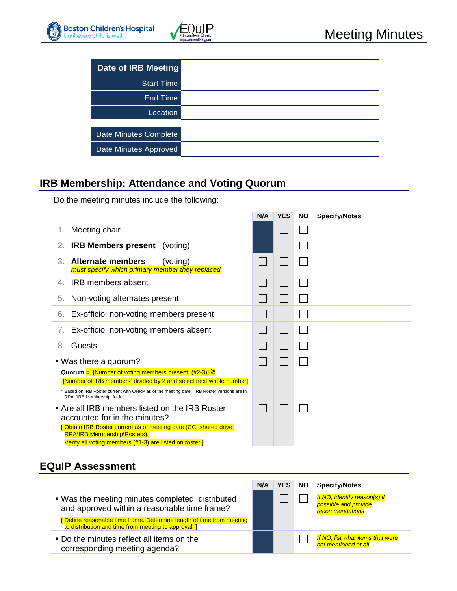

| <b>Date of IRB Meeting</b> |  |
|----------------------------|--|
| <b>Start Time</b>          |  |
| End Time                   |  |
| Location                   |  |
|                            |  |
| Date Minutes Complete      |  |
| Date Minutes Approved      |  |

### **IRB Membership: Attendance and Voting Quorum**

Do the meeting minutes include the following:

|                                                                                                                                                                                                                                                                                           | N/A | <b>YES</b> | <b>NO</b> | <b>Specify/Notes</b> |
|-------------------------------------------------------------------------------------------------------------------------------------------------------------------------------------------------------------------------------------------------------------------------------------------|-----|------------|-----------|----------------------|
| Meeting chair<br>1.                                                                                                                                                                                                                                                                       |     |            |           |                      |
| <b>IRB Members present</b> (voting)<br>2.                                                                                                                                                                                                                                                 |     |            |           |                      |
| 3.<br><b>Alternate members</b><br>(voting)<br>must specify which primary member they replaced                                                                                                                                                                                             |     |            |           |                      |
| <b>IRB</b> members absent<br>4.                                                                                                                                                                                                                                                           |     |            |           |                      |
| Non-voting alternates present<br>5.                                                                                                                                                                                                                                                       |     |            |           |                      |
| Ex-officio: non-voting members present<br>6.                                                                                                                                                                                                                                              |     |            |           |                      |
| Ex-officio: non-voting members absent<br>7.                                                                                                                                                                                                                                               |     |            |           |                      |
| Guests<br>8.                                                                                                                                                                                                                                                                              |     |            |           |                      |
| ■ Was there a quorum?<br>Quorum = [Number of voting members present $(\#2-3)$ ] $\ge$<br>[Number of IRB members] divided by 2 and select next whole number]<br>* Based on IRB Roster current with OHRP as of the meeting date. IRB Roster versions are in<br>RPA: 'IRB Membership' folder |     |            |           |                      |
| • Are all IRB members listed on the IRB Roster<br>accounted for in the minutes?<br>Obtain IRB Roster current as of meeting date (CCI shared drive:<br><b>RPA\IRB Membership\Rosters).</b><br>Verify all voting members (#1-3) are listed on roster.]                                      |     |            |           |                      |

### **EQuIP Assessment**

|                                                                                                                              | N/A | YES | <b>NO</b> | <b>Specify/Notes</b>                                                    |
|------------------------------------------------------------------------------------------------------------------------------|-----|-----|-----------|-------------------------------------------------------------------------|
| . Was the meeting minutes completed, distributed<br>and approved within a reasonable time frame?                             |     |     |           | If NO, identify reason(s) if<br>possible and provide<br>recommendations |
| [Define reasonable time frame. Determine length of time from meeting<br>to distribution and time from meeting to approval. ] |     |     |           |                                                                         |
| • Do the minutes reflect all items on the<br>corresponding meeting agenda?                                                   |     |     |           | If NO, list what items that were<br>not mentioned at all                |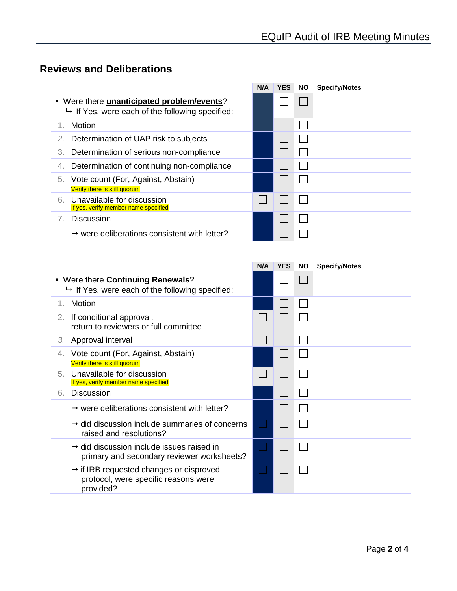# **Reviews and Deliberations**

|                                                                                                               | N/A | <b>YES</b> | NO. | <b>Specify/Notes</b> |
|---------------------------------------------------------------------------------------------------------------|-----|------------|-----|----------------------|
| • Were there <b>unanticipated problem/events</b> ?<br>$\mapsto$ If Yes, were each of the following specified: |     |            |     |                      |
| Motion                                                                                                        |     |            |     |                      |
| Determination of UAP risk to subjects<br>2.                                                                   |     |            |     |                      |
| Determination of serious non-compliance<br>3.                                                                 |     |            |     |                      |
| Determination of continuing non-compliance<br>4.                                                              |     |            |     |                      |
| Vote count (For, Against, Abstain)<br>5.<br>Verify there is still quorum                                      |     |            |     |                      |
| Unavailable for discussion<br>6.<br>If yes, verify member name specified                                      |     |            |     |                      |
| <b>Discussion</b>                                                                                             |     |            |     |                      |
| $\rightarrow$ were deliberations consistent with letter?                                                      |     |            |     |                      |

|    |                                                                                                          | N/A         | <b>YES</b> | <b>NO</b> | <b>Specify/Notes</b> |
|----|----------------------------------------------------------------------------------------------------------|-------------|------------|-----------|----------------------|
|    | • Were there <b>Continuing Renewals</b> ?<br>$\rightarrow$ If Yes, were each of the following specified: |             |            |           |                      |
| 1. | Motion                                                                                                   |             |            |           |                      |
| 2. | If conditional approval,<br>return to reviewers or full committee                                        |             |            |           |                      |
| З. | Approval interval                                                                                        |             |            |           |                      |
|    | Vote count (For, Against, Abstain)<br>Verify there is still quorum                                       |             |            |           |                      |
| 5. | Unavailable for discussion<br>If yes, verify member name specified                                       |             |            |           |                      |
| 6. | <b>Discussion</b>                                                                                        |             |            |           |                      |
|    | $\rightarrow$ were deliberations consistent with letter?                                                 |             |            |           |                      |
|    | $\rightarrow$ did discussion include summaries of concerns<br>raised and resolutions?                    |             |            |           |                      |
|    | $\rightarrow$ did discussion include issues raised in<br>primary and secondary reviewer worksheets?      | <b>Tara</b> |            |           |                      |
|    | $\mapsto$ if IRB requested changes or disproved<br>protocol, were specific reasons were<br>provided?     |             |            |           |                      |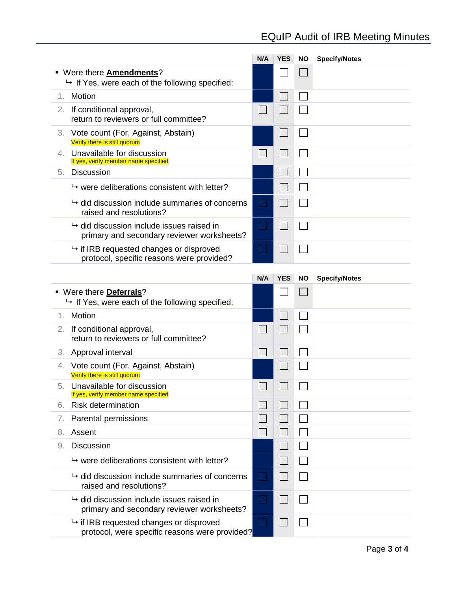# EQuIP Audit of IRB Meeting Minutes

|         |                                                                                                   | N/A       | <b>YES</b> | <b>NO</b> | <b>Specify/Notes</b> |
|---------|---------------------------------------------------------------------------------------------------|-----------|------------|-----------|----------------------|
|         | - Were there <b>Amendments</b> ?<br>→ If Yes, were each of the following specified:               |           |            |           |                      |
| $1_{-}$ | Motion                                                                                            |           |            |           |                      |
|         | 2. If conditional approval,<br>return to reviewers or full committee?                             |           |            |           |                      |
| 3.      | Vote count (For, Against, Abstain)<br>Verify there is still quorum                                |           |            |           |                      |
| 4.      | Unavailable for discussion<br>If yes, verify member name specified                                |           |            |           |                      |
| 5.      | <b>Discussion</b>                                                                                 |           |            |           |                      |
|         | $\rightarrow$ were deliberations consistent with letter?                                          |           |            |           |                      |
|         | $\rightarrow$ did discussion include summaries of concerns<br>raised and resolutions?             | H         |            |           |                      |
|         | $\mapsto$ did discussion include issues raised in<br>primary and secondary reviewer worksheets?   | $\sim$    |            |           |                      |
|         | $\mapsto$ if IRB requested changes or disproved<br>protocol, specific reasons were provided?      | III       |            |           |                      |
|         |                                                                                                   | N/A       | <b>YES</b> | <b>NO</b> | <b>Specify/Notes</b> |
|         | ■ Were there <b>Deferrals</b> ?<br>$\rightarrow$ If Yes, were each of the following specified:    |           |            |           |                      |
| 1.      | Motion                                                                                            |           |            |           |                      |
| 2.      | If conditional approval,<br>return to reviewers or full committee?                                |           |            |           |                      |
|         | 3. Approval interval                                                                              |           |            |           |                      |
| 4.      | Vote count (For, Against, Abstain)<br>Verify there is still quorum                                |           |            |           |                      |
| 5.      | Unavailable for discussion<br>If yes, verify member name specified                                |           |            |           |                      |
| 6.      | <b>Risk determination</b>                                                                         |           |            |           |                      |
| 7.      | Parental permissions                                                                              |           |            |           |                      |
| 8.      | Assent                                                                                            |           |            |           |                      |
| 9.      | <b>Discussion</b>                                                                                 |           |            |           |                      |
|         | $\rightarrow$ were deliberations consistent with letter?                                          |           |            |           |                      |
|         | $\rightarrow$ did discussion include summaries of concerns<br>raised and resolutions?             | $\sim 10$ |            |           |                      |
|         | $\mapsto$ did discussion include issues raised in<br>primary and secondary reviewer worksheets?   |           |            |           |                      |
|         | $\mapsto$ if IRB requested changes or disproved<br>protocol, were specific reasons were provided? |           |            |           |                      |